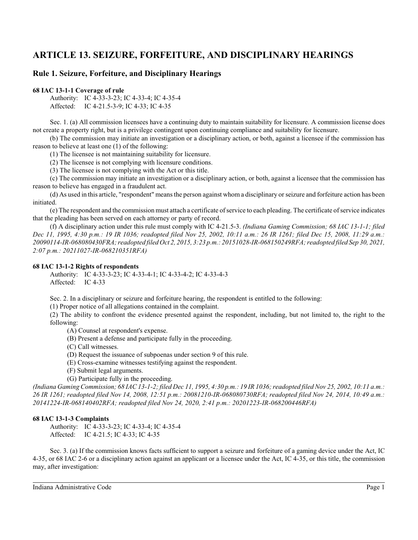# **ARTICLE 13. SEIZURE, FORFEITURE, AND DISCIPLINARY HEARINGS**

## **Rule 1. Seizure, Forfeiture, and Disciplinary Hearings**

## **68 IAC 13-1-1 Coverage of rule**

Authority: IC 4-33-3-23; IC 4-33-4; IC 4-35-4 Affected: IC 4-21.5-3-9; IC 4-33; IC 4-35

Sec. 1. (a) All commission licensees have a continuing duty to maintain suitability for licensure. A commission license does not create a property right, but is a privilege contingent upon continuing compliance and suitability for licensure.

(b) The commission may initiate an investigation or a disciplinary action, or both, against a licensee if the commission has reason to believe at least one (1) of the following:

(1) The licensee is not maintaining suitability for licensure.

(2) The licensee is not complying with licensure conditions.

(3) The licensee is not complying with the Act or this title.

(c) The commission may initiate an investigation or a disciplinary action, or both, against a licensee that the commission has reason to believe has engaged in a fraudulent act.

(d) As used in this article, "respondent" means the person against whom a disciplinary orseizure and forfeiture action has been initiated.

(e) The respondent and the commission must attach a certificate of service to each pleading. The certificate of service indicates that the pleading has been served on each attorney or party of record.

(f) A disciplinary action under this rule must comply with IC 4-21.5-3. *(Indiana Gaming Commission; 68 IAC 13-1-1; filed Dec 11, 1995, 4:30 p.m.: 19 IR 1036; readopted filed Nov 25, 2002, 10:11 a.m.: 26 IR 1261; filed Dec 15, 2008, 11:29 a.m.: 20090114-IR-068080430FRA; readopted filed Oct 2, 2015, 3:23 p.m.: 20151028-IR-068150249RFA; readopted filed Sep 30, 2021, 2:07 p.m.: 20211027-IR-068210351RFA)*

## **68 IAC 13-1-2 Rights of respondents**

Authority: IC 4-33-3-23; IC 4-33-4-1; IC 4-33-4-2; IC 4-33-4-3 Affected: IC 4-33

Sec. 2. In a disciplinary or seizure and forfeiture hearing, the respondent is entitled to the following:

(1) Proper notice of all allegations contained in the complaint.

(2) The ability to confront the evidence presented against the respondent, including, but not limited to, the right to the following:

(A) Counsel at respondent's expense.

- (B) Present a defense and participate fully in the proceeding.
- (C) Call witnesses.
- (D) Request the issuance of subpoenas under section 9 of this rule.
- (E) Cross-examine witnesses testifying against the respondent.
- (F) Submit legal arguments.
- (G) Participate fully in the proceeding.

*(Indiana Gaming Commission; 68 IAC 13-1-2; filed Dec 11, 1995, 4:30 p.m.: 19 IR 1036; readopted filed Nov 25, 2002, 10:11 a.m.: 26 IR 1261; readopted filed Nov 14, 2008, 12:51 p.m.: 20081210-IR-068080730RFA; readopted filed Nov 24, 2014, 10:49 a.m.: 20141224-IR-068140402RFA; readopted filed Nov 24, 2020, 2:41 p.m.: 20201223-IR-068200446RFA)*

## **68 IAC 13-1-3 Complaints**

Authority: IC 4-33-3-23; IC 4-33-4; IC 4-35-4 Affected: IC 4-21.5; IC 4-33; IC 4-35

Sec. 3. (a) If the commission knows facts sufficient to support a seizure and forfeiture of a gaming device under the Act, IC 4-35, or 68 IAC 2-6 or a disciplinary action against an applicant or a licensee under the Act, IC 4-35, or this title, the commission may, after investigation: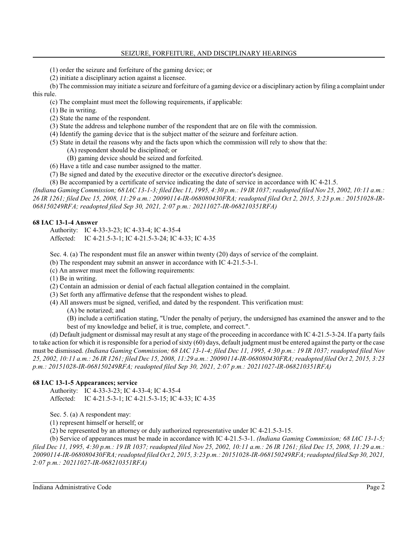(1) order the seizure and forfeiture of the gaming device; or

(2) initiate a disciplinary action against a licensee.

(b) The commission may initiate a seizure and forfeiture of a gaming device or a disciplinary action by filing a complaint under this rule.

(c) The complaint must meet the following requirements, if applicable:

(1) Be in writing.

- (2) State the name of the respondent.
- (3) State the address and telephone number of the respondent that are on file with the commission.
- (4) Identify the gaming device that is the subject matter of the seizure and forfeiture action.
- (5) State in detail the reasons why and the facts upon which the commission will rely to show that the:
	- (A) respondent should be disciplined; or
	- (B) gaming device should be seized and forfeited.
- (6) Have a title and case number assigned to the matter.
- (7) Be signed and dated by the executive director or the executive director's designee.
- (8) Be accompanied by a certificate of service indicating the date of service in accordance with IC 4-21.5.

*(Indiana Gaming Commission; 68 IAC 13-1-3; filed Dec 11, 1995, 4:30 p.m.: 19 IR 1037; readopted filed Nov 25, 2002, 10:11 a.m.: 26 IR 1261; filed Dec 15, 2008, 11:29 a.m.: 20090114-IR-068080430FRA; readopted filed Oct 2, 2015, 3:23 p.m.: 20151028-IR-068150249RFA; readopted filed Sep 30, 2021, 2:07 p.m.: 20211027-IR-068210351RFA)*

## **68 IAC 13-1-4 Answer**

Authority: IC 4-33-3-23; IC 4-33-4; IC 4-35-4 Affected: IC 4-21.5-3-1; IC 4-21.5-3-24; IC 4-33; IC 4-35

Sec. 4. (a) The respondent must file an answer within twenty (20) days of service of the complaint.

(b) The respondent may submit an answer in accordance with IC 4-21.5-3-1.

(c) An answer must meet the following requirements:

(1) Be in writing.

- (2) Contain an admission or denial of each factual allegation contained in the complaint.
- (3) Set forth any affirmative defense that the respondent wishes to plead.
- (4) All answers must be signed, verified, and dated by the respondent. This verification must:

(A) be notarized; and

(B) include a certification stating, "Under the penalty of perjury, the undersigned has examined the answer and to the best of my knowledge and belief, it is true, complete, and correct.".

(d) Default judgment or dismissal may result at any stage of the proceeding in accordance with IC 4-21.5-3-24. If a party fails to take action for which it is responsible for a period of sixty (60) days, default judgment must be entered against the party or the case must be dismissed. *(Indiana Gaming Commission; 68 IAC 13-1-4; filed Dec 11, 1995, 4:30 p.m.: 19 IR 1037; readopted filed Nov 25, 2002, 10:11 a.m.: 26 IR 1261; filed Dec 15, 2008, 11:29 a.m.: 20090114-IR-068080430FRA; readopted filed Oct 2, 2015, 3:23 p.m.: 20151028-IR-068150249RFA; readopted filed Sep 30, 2021, 2:07 p.m.: 20211027-IR-068210351RFA)*

## **68 IAC 13-1-5 Appearances; service**

Authority: IC 4-33-3-23; IC 4-33-4; IC 4-35-4 Affected: IC 4-21.5-3-1; IC 4-21.5-3-15; IC 4-33; IC 4-35

Sec. 5. (a) A respondent may:

(1) represent himself or herself; or

(2) be represented by an attorney or duly authorized representative under IC 4-21.5-3-15.

(b) Service of appearances must be made in accordance with IC 4-21.5-3-1. *(Indiana Gaming Commission; 68 IAC 13-1-5; filed Dec 11, 1995, 4:30 p.m.: 19 IR 1037; readopted filed Nov 25, 2002, 10:11 a.m.: 26 IR 1261; filed Dec 15, 2008, 11:29 a.m.: 20090114-IR-068080430FRA; readopted filed Oct 2, 2015, 3:23 p.m.: 20151028-IR-068150249RFA; readopted filed Sep 30, 2021, 2:07 p.m.: 20211027-IR-068210351RFA)*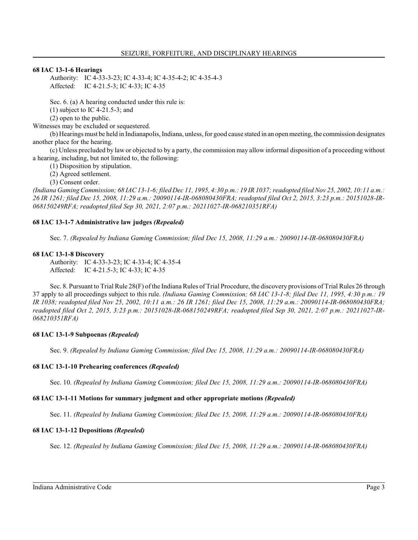## **68 IAC 13-1-6 Hearings**

Authority: IC 4-33-3-23; IC 4-33-4; IC 4-35-4-2; IC 4-35-4-3 Affected: IC 4-21.5-3; IC 4-33; IC 4-35

Sec. 6. (a) A hearing conducted under this rule is:

(1) subject to IC 4-21.5-3; and

(2) open to the public.

Witnesses may be excluded or sequestered.

(b) Hearings must be held in Indianapolis, Indiana, unless, for good cause stated in an open meeting, the commission designates another place for the hearing.

(c) Unless precluded by law or objected to by a party, the commission may allow informal disposition of a proceeding without a hearing, including, but not limited to, the following:

(1) Disposition by stipulation.

(2) Agreed settlement.

(3) Consent order.

*(Indiana Gaming Commission; 68 IAC 13-1-6; filed Dec 11, 1995, 4:30 p.m.: 19 IR 1037; readopted filed Nov 25, 2002, 10:11 a.m.: 26 IR 1261; filed Dec 15, 2008, 11:29 a.m.: 20090114-IR-068080430FRA; readopted filed Oct 2, 2015, 3:23 p.m.: 20151028-IR-068150249RFA; readopted filed Sep 30, 2021, 2:07 p.m.: 20211027-IR-068210351RFA)*

## **68 IAC 13-1-7 Administrative law judges** *(Repealed)*

Sec. 7. *(Repealed by Indiana Gaming Commission; filed Dec 15, 2008, 11:29 a.m.: 20090114-IR-068080430FRA)*

## **68 IAC 13-1-8 Discovery**

Authority: IC 4-33-3-23; IC 4-33-4; IC 4-35-4 Affected: IC 4-21.5-3; IC 4-33; IC 4-35

Sec. 8. Pursuant to Trial Rule 28(F) of the Indiana Rules of Trial Procedure, the discovery provisions of Trial Rules 26 through 37 apply to all proceedings subject to this rule. *(Indiana Gaming Commission; 68 IAC 13-1-8; filed Dec 11, 1995, 4:30 p.m.: 19 IR 1038; readopted filed Nov 25, 2002, 10:11 a.m.: 26 IR 1261; filed Dec 15, 2008, 11:29 a.m.: 20090114-IR-068080430FRA; readopted filed Oct 2, 2015, 3:23 p.m.: 20151028-IR-068150249RFA; readopted filed Sep 30, 2021, 2:07 p.m.: 20211027-IR-068210351RFA)*

## **68 IAC 13-1-9 Subpoenas** *(Repealed)*

Sec. 9. *(Repealed by Indiana Gaming Commission; filed Dec 15, 2008, 11:29 a.m.: 20090114-IR-068080430FRA)*

## **68 IAC 13-1-10 Prehearing conferences** *(Repealed)*

Sec. 10. *(Repealed by Indiana Gaming Commission; filed Dec 15, 2008, 11:29 a.m.: 20090114-IR-068080430FRA)*

## **68 IAC 13-1-11 Motions for summary judgment and other appropriate motions** *(Repealed)*

Sec. 11. *(Repealed by Indiana Gaming Commission; filed Dec 15, 2008, 11:29 a.m.: 20090114-IR-068080430FRA)*

## **68 IAC 13-1-12 Depositions** *(Repealed)*

Sec. 12. *(Repealed by Indiana Gaming Commission; filed Dec 15, 2008, 11:29 a.m.: 20090114-IR-068080430FRA)*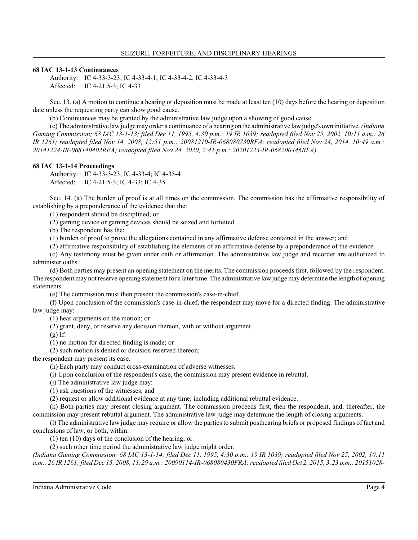## **68 IAC 13-1-13 Continuances**

Authority: IC 4-33-3-23; IC 4-33-4-1; IC 4-33-4-2; IC 4-33-4-3 Affected: IC 4-21.5-3; IC 4-33

Sec. 13. (a) A motion to continue a hearing or deposition must be made at least ten (10) days before the hearing or deposition date unless the requesting party can show good cause.

(b) Continuances may be granted by the administrative law judge upon a showing of good cause.

(c) The administrative lawjudge may order a continuance of a hearing on the administrative lawjudge's own initiative. *(Indiana Gaming Commission; 68 IAC 13-1-13; filed Dec 11, 1995, 4:30 p.m.: 19 IR 1039; readopted filed Nov 25, 2002, 10:11 a.m.: 26 IR 1261; readopted filed Nov 14, 2008, 12:51 p.m.: 20081210-IR-068080730RFA; readopted filed Nov 24, 2014, 10:49 a.m.: 20141224-IR-068140402RFA; readopted filed Nov 24, 2020, 2:41 p.m.: 20201223-IR-068200446RFA)*

## **68 IAC 13-1-14 Proceedings**

Authority: IC 4-33-3-23; IC 4-33-4; IC 4-35-4 Affected: IC 4-21.5-3; IC 4-33; IC 4-35

Sec. 14. (a) The burden of proof is at all times on the commission. The commission has the affirmative responsibility of establishing by a preponderance of the evidence that the:

(1) respondent should be disciplined; or

(2) gaming device or gaming devices should be seized and forfeited.

(b) The respondent has the:

(1) burden of proof to prove the allegations contained in any affirmative defense contained in the answer; and

(2) affirmative responsibility of establishing the elements of an affirmative defense by a preponderance of the evidence.

(c) Any testimony must be given under oath or affirmation. The administrative law judge and recorder are authorized to administer oaths.

(d) Both parties may present an opening statement on the merits. The commission proceeds first, followed by the respondent. The respondent may not reserve opening statement for a later time. The administrative lawjudge may determine the length of opening statements.

(e) The commission must then present the commission's case-in-chief.

(f) Upon conclusion of the commission's case-in-chief, the respondent may move for a directed finding. The administrative law judge may:

(1) hear arguments on the motion; or

(2) grant, deny, or reserve any decision thereon, with or without argument.

 $(g)$  If:

(1) no motion for directed finding is made; or

(2) such motion is denied or decision reserved thereon;

the respondent may present its case.

(h) Each party may conduct cross-examination of adverse witnesses.

(i) Upon conclusion of the respondent's case, the commission may present evidence in rebuttal.

(j) The administrative law judge may:

(1) ask questions of the witnesses; and

(2) request or allow additional evidence at any time, including additional rebuttal evidence.

(k) Both parties may present closing argument. The commission proceeds first, then the respondent, and, thereafter, the commission may present rebuttal argument. The administrative law judge may determine the length of closing arguments.

(l) The administrative law judge may require or allow the parties to submit posthearing briefs or proposed findings of fact and conclusions of law, or both, within:

(1) ten (10) days of the conclusion of the hearing; or

(2) such other time period the administrative law judge might order.

*(Indiana Gaming Commission; 68 IAC 13-1-14; filed Dec 11, 1995, 4:30 p.m.: 19 IR 1039; readopted filed Nov 25, 2002, 10:11 a.m.: 26 IR 1261; filed Dec 15, 2008, 11:29 a.m.: 20090114-IR-068080430FRA; readopted filed Oct 2, 2015, 3:23 p.m.: 20151028-*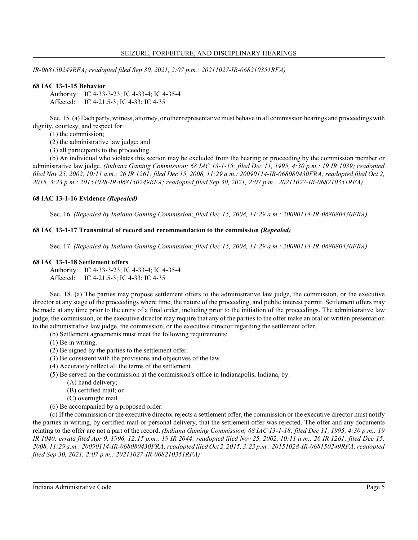*IR-068150249RFA; readopted filed Sep 30, 2021, 2:07 p.m.: 20211027-IR-068210351RFA)*

## **68 IAC 13-1-15 Behavior**

Authority: IC 4-33-3-23; IC 4-33-4; IC 4-35-4 Affected: IC 4-21.5-3; IC 4-33; IC 4-35

Sec. 15. (a) Each party, witness, attorney, or other representative must behave in all commission hearings and proceedings with dignity, courtesy, and respect for:

(1) the commission;

(2) the administrative law judge; and

(3) all participants to the proceeding.

(b) An individual who violates this section may be excluded from the hearing or proceeding by the commission member or administrative law judge. *(Indiana Gaming Commission; 68 IAC 13-1-15; filed Dec 11, 1995, 4:30 p.m.: 19 IR 1039; readopted filed Nov 25, 2002, 10:11 a.m.: 26 IR 1261; filed Dec 15, 2008, 11:29 a.m.: 20090114-IR-068080430FRA; readopted filed Oct 2, 2015, 3:23 p.m.: 20151028-IR-068150249RFA; readopted filed Sep 30, 2021, 2:07 p.m.: 20211027-IR-068210351RFA)*

#### **68 IAC 13-1-16 Evidence** *(Repealed)*

Sec. 16. *(Repealed by Indiana Gaming Commission; filed Dec 15, 2008, 11:29 a.m.: 20090114-IR-068080430FRA)*

#### **68 IAC 13-1-17 Transmittal of record and recommendation to the commission** *(Repealed)*

Sec. 17. *(Repealed by Indiana Gaming Commission; filed Dec 15, 2008, 11:29 a.m.: 20090114-IR-068080430FRA)*

#### **68 IAC 13-1-18 Settlement offers**

Authority: IC 4-33-3-23; IC 4-33-4; IC 4-35-4 Affected: IC 4-21.5-3; IC 4-33; IC 4-35

Sec. 18. (a) The parties may propose settlement offers to the administrative law judge, the commission, or the executive director at any stage of the proceedings where time, the nature of the proceeding, and public interest permit. Settlement offers may be made at any time prior to the entry of a final order, including prior to the initiation of the proceedings. The administrative law judge, the commission, or the executive director may require that any of the parties to the offer make an oral or written presentation to the administrative law judge, the commission, or the executive director regarding the settlement offer.

(b) Settlement agreements must meet the following requirements:

- (1) Be in writing.
- (2) Be signed by the parties to the settlement offer.
- (3) Be consistent with the provisions and objectives of the law.
- (4) Accurately reflect all the terms of the settlement.
- (5) Be served on the commission at the commission's office in Indianapolis, Indiana, by:
	- (A) hand delivery;
	- (B) certified mail; or
	- (C) overnight mail.
- (6) Be accompanied by a proposed order.

(c) If the commission or the executive director rejects a settlement offer, the commission or the executive director must notify the parties in writing, by certified mail or personal delivery, that the settlement offer was rejected. The offer and any documents relating to the offer are not a part of the record. *(Indiana Gaming Commission; 68 IAC 13-1-18; filed Dec 11, 1995, 4:30 p.m.: 19 IR 1040; errata filed Apr 9, 1996, 12:15 p.m.: 19 IR 2044; readopted filed Nov 25, 2002, 10:11 a.m.: 26 IR 1261; filed Dec 15, 2008, 11:29 a.m.: 20090114-IR-068080430FRA; readopted filed Oct 2, 2015, 3:23 p.m.: 20151028-IR-068150249RFA; readopted filed Sep 30, 2021, 2:07 p.m.: 20211027-IR-068210351RFA)*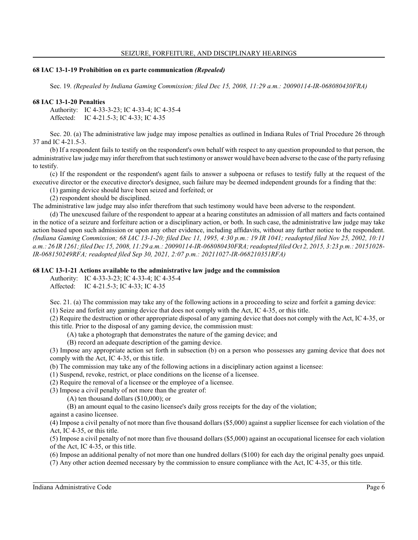#### **68 IAC 13-1-19 Prohibition on ex parte communication** *(Repealed)*

Sec. 19. *(Repealed by Indiana Gaming Commission; filed Dec 15, 2008, 11:29 a.m.: 20090114-IR-068080430FRA)*

#### **68 IAC 13-1-20 Penalties**

Authority: IC 4-33-3-23; IC 4-33-4; IC 4-35-4 Affected: IC 4-21.5-3; IC 4-33; IC 4-35

Sec. 20. (a) The administrative law judge may impose penalties as outlined in Indiana Rules of Trial Procedure 26 through 37 and IC 4-21.5-3.

(b) If a respondent fails to testify on the respondent's own behalf with respect to any question propounded to that person, the administrative law judge may infer therefrom that such testimony or answer would have been adverse to the case of the party refusing to testify.

(c) If the respondent or the respondent's agent fails to answer a subpoena or refuses to testify fully at the request of the executive director or the executive director's designee, such failure may be deemed independent grounds for a finding that the:

(1) gaming device should have been seized and forfeited; or

(2) respondent should be disciplined.

The administrative law judge may also infer therefrom that such testimony would have been adverse to the respondent.

(d) The unexcused failure of the respondent to appear at a hearing constitutes an admission of all matters and facts contained in the notice of a seizure and forfeiture action or a disciplinary action, or both. In such case, the administrative law judge may take action based upon such admission or upon any other evidence, including affidavits, without any further notice to the respondent. *(Indiana Gaming Commission; 68 IAC 13-1-20; filed Dec 11, 1995, 4:30 p.m.: 19 IR 1041; readopted filed Nov 25, 2002, 10:11 a.m.: 26 IR 1261; filed Dec 15, 2008, 11:29 a.m.: 20090114-IR-068080430FRA; readopted filed Oct 2, 2015, 3:23 p.m.: 20151028- IR-068150249RFA; readopted filed Sep 30, 2021, 2:07 p.m.: 20211027-IR-068210351RFA)*

### **68 IAC 13-1-21 Actions available to the administrative law judge and the commission**

Authority: IC 4-33-3-23; IC 4-33-4; IC 4-35-4

Affected: IC 4-21.5-3; IC 4-33; IC 4-35

Sec. 21. (a) The commission may take any of the following actions in a proceeding to seize and forfeit a gaming device: (1) Seize and forfeit any gaming device that does not comply with the Act, IC 4-35, or this title.

(2) Require the destruction or other appropriate disposal of any gaming device that does not comply with the Act, IC 4-35, or this title. Prior to the disposal of any gaming device, the commission must:

(A) take a photograph that demonstrates the nature of the gaming device; and

(B) record an adequate description of the gaming device.

(3) Impose any appropriate action set forth in subsection (b) on a person who possesses any gaming device that does not comply with the Act, IC 4-35, or this title.

(b) The commission may take any of the following actions in a disciplinary action against a licensee:

(1) Suspend, revoke, restrict, or place conditions on the license of a licensee.

(2) Require the removal of a licensee or the employee of a licensee.

(3) Impose a civil penalty of not more than the greater of:

(A) ten thousand dollars (\$10,000); or

(B) an amount equal to the casino licensee's daily gross receipts for the day of the violation;

against a casino licensee.

(4) Impose a civil penalty of not more than five thousand dollars (\$5,000) against a supplier licensee for each violation of the Act, IC 4-35, or this title.

(5) Impose a civil penalty of not more than five thousand dollars (\$5,000) against an occupational licensee for each violation of the Act, IC 4-35, or this title.

(6) Impose an additional penalty of not more than one hundred dollars (\$100) for each day the original penalty goes unpaid.

(7) Any other action deemed necessary by the commission to ensure compliance with the Act, IC 4-35, or this title.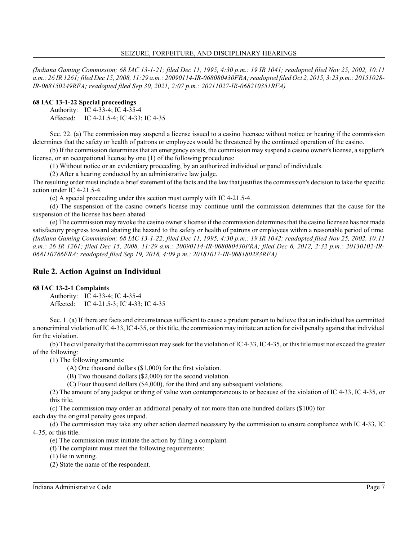*(Indiana Gaming Commission; 68 IAC 13-1-21; filed Dec 11, 1995, 4:30 p.m.: 19 IR 1041; readopted filed Nov 25, 2002, 10:11 a.m.: 26 IR 1261; filed Dec 15, 2008, 11:29 a.m.: 20090114-IR-068080430FRA; readopted filed Oct 2, 2015, 3:23 p.m.: 20151028- IR-068150249RFA; readopted filed Sep 30, 2021, 2:07 p.m.: 20211027-IR-068210351RFA)*

## **68 IAC 13-1-22 Special proceedings**

Authority: IC 4-33-4; IC 4-35-4 Affected: IC 4-21.5-4; IC 4-33; IC 4-35

Sec. 22. (a) The commission may suspend a license issued to a casino licensee without notice or hearing if the commission determines that the safety or health of patrons or employees would be threatened by the continued operation of the casino.

(b) If the commission determines that an emergency exists, the commission may suspend a casino owner's license, a supplier's license, or an occupational license by one (1) of the following procedures:

(1) Without notice or an evidentiary proceeding, by an authorized individual or panel of individuals.

(2) After a hearing conducted by an administrative law judge.

The resulting order must include a brief statement of the facts and the law that justifiesthe commission's decision to take the specific action under IC 4-21.5-4.

(c) A special proceeding under this section must comply with IC 4-21.5-4.

(d) The suspension of the casino owner's license may continue until the commission determines that the cause for the suspension of the license has been abated.

(e) The commission may revoke the casino owner's license if the commission determines that the casino licensee has not made satisfactory progress toward abating the hazard to the safety or health of patrons or employees within a reasonable period of time. *(Indiana Gaming Commission; 68 IAC 13-1-22; filed Dec 11, 1995, 4:30 p.m.: 19 IR 1042; readopted filed Nov 25, 2002, 10:11 a.m.: 26 IR 1261; filed Dec 15, 2008, 11:29 a.m.: 20090114-IR-068080430FRA; filed Dec 6, 2012, 2:32 p.m.: 20130102-IR-068110786FRA; readopted filed Sep 19, 2018, 4:09 p.m.: 20181017-IR-068180283RFA)*

## **Rule 2. Action Against an Individual**

## **68 IAC 13-2-1 Complaints**

Authority: IC 4-33-4; IC 4-35-4 Affected: IC 4-21.5-3; IC 4-33; IC 4-35

Sec. 1. (a) If there are facts and circumstances sufficient to cause a prudent person to believe that an individual has committed a noncriminal violation of IC 4-33, IC 4-35, or thistitle, the commission may initiate an action for civil penalty against that individual for the violation.

(b) The civil penalty that the commission may seek for the violation of IC 4-33, IC 4-35, or thistitle must not exceed the greater of the following:

(1) The following amounts:

(A) One thousand dollars (\$1,000) for the first violation.

(B) Two thousand dollars (\$2,000) for the second violation.

(C) Four thousand dollars (\$4,000), for the third and any subsequent violations.

(2) The amount of any jackpot or thing of value won contemporaneous to or because of the violation of IC 4-33, IC 4-35, or this title.

(c) The commission may order an additional penalty of not more than one hundred dollars (\$100) for

each day the original penalty goes unpaid.

(d) The commission may take any other action deemed necessary by the commission to ensure compliance with IC 4-33, IC 4-35, or this title.

(e) The commission must initiate the action by filing a complaint.

(f) The complaint must meet the following requirements:

(1) Be in writing.

(2) State the name of the respondent.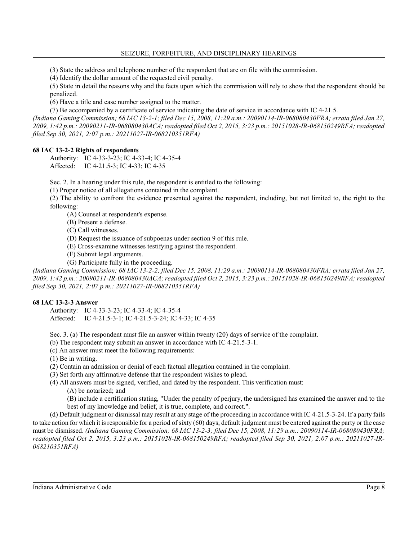(3) State the address and telephone number of the respondent that are on file with the commission.

(4) Identify the dollar amount of the requested civil penalty.

(5) State in detail the reasons why and the facts upon which the commission will rely to show that the respondent should be penalized.

(6) Have a title and case number assigned to the matter.

(7) Be accompanied by a certificate of service indicating the date of service in accordance with IC 4-21.5.

*(Indiana Gaming Commission; 68 IAC 13-2-1; filed Dec 15, 2008, 11:29 a.m.: 20090114-IR-068080430FRA; errata filed Jan 27, 2009, 1:42 p.m.: 20090211-IR-068080430ACA; readopted filed Oct 2, 2015, 3:23 p.m.: 20151028-IR-068150249RFA; readopted filed Sep 30, 2021, 2:07 p.m.: 20211027-IR-068210351RFA)*

## **68 IAC 13-2-2 Rights of respondents**

Authority: IC 4-33-3-23; IC 4-33-4; IC 4-35-4 Affected: IC 4-21.5-3; IC 4-33; IC 4-35

Sec. 2. In a hearing under this rule, the respondent is entitled to the following:

(1) Proper notice of all allegations contained in the complaint.

(2) The ability to confront the evidence presented against the respondent, including, but not limited to, the right to the following:

(A) Counsel at respondent's expense.

(B) Present a defense.

(C) Call witnesses.

(D) Request the issuance of subpoenas under section 9 of this rule.

(E) Cross-examine witnesses testifying against the respondent.

(F) Submit legal arguments.

(G) Participate fully in the proceeding.

*(Indiana Gaming Commission; 68 IAC 13-2-2; filed Dec 15, 2008, 11:29 a.m.: 20090114-IR-068080430FRA; errata filed Jan 27, 2009, 1:42 p.m.: 20090211-IR-068080430ACA; readopted filed Oct 2, 2015, 3:23 p.m.: 20151028-IR-068150249RFA; readopted filed Sep 30, 2021, 2:07 p.m.: 20211027-IR-068210351RFA)*

## **68 IAC 13-2-3 Answer**

Authority: IC 4-33-3-23; IC 4-33-4; IC 4-35-4 Affected: IC 4-21.5-3-1; IC 4-21.5-3-24; IC 4-33; IC 4-35

Sec. 3. (a) The respondent must file an answer within twenty (20) days of service of the complaint.

(b) The respondent may submit an answer in accordance with IC 4-21.5-3-1.

(c) An answer must meet the following requirements:

(1) Be in writing.

(2) Contain an admission or denial of each factual allegation contained in the complaint.

- (3) Set forth any affirmative defense that the respondent wishes to plead.
- (4) All answers must be signed, verified, and dated by the respondent. This verification must:

(A) be notarized; and

(B) include a certification stating, "Under the penalty of perjury, the undersigned has examined the answer and to the best of my knowledge and belief, it is true, complete, and correct.".

(d) Default judgment or dismissal may result at any stage of the proceeding in accordance with IC 4-21.5-3-24. If a party fails to take action for which it is responsible for a period of sixty (60) days, default judgment must be entered against the party or the case must be dismissed. *(Indiana Gaming Commission; 68 IAC 13-2-3; filed Dec 15, 2008, 11:29 a.m.: 20090114-IR-068080430FRA; readopted filed Oct 2, 2015, 3:23 p.m.: 20151028-IR-068150249RFA; readopted filed Sep 30, 2021, 2:07 p.m.: 20211027-IR-068210351RFA)*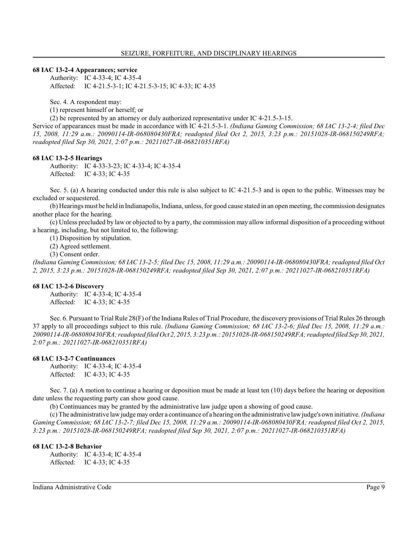#### **68 IAC 13-2-4 Appearances; service**

Authority: IC 4-33-4; IC 4-35-4 Affected: IC 4-21.5-3-1; IC 4-21.5-3-15; IC 4-33; IC 4-35

Sec. 4. A respondent may:

(1) represent himself or herself; or

(2) be represented by an attorney or duly authorized representative under IC 4-21.5-3-15.

Service of appearances must be made in accordance with IC 4-21.5-3-1. *(Indiana Gaming Commission; 68 IAC 13-2-4; filed Dec 15, 2008, 11:29 a.m.: 20090114-IR-068080430FRA; readopted filed Oct 2, 2015, 3:23 p.m.: 20151028-IR-068150249RFA; readopted filed Sep 30, 2021, 2:07 p.m.: 20211027-IR-068210351RFA)*

#### **68 IAC 13-2-5 Hearings**

Authority: IC 4-33-3-23; IC 4-33-4; IC 4-35-4 Affected: IC 4-33; IC 4-35

Sec. 5. (a) A hearing conducted under this rule is also subject to IC 4-21.5-3 and is open to the public. Witnesses may be excluded or sequestered.

(b) Hearings must be held in Indianapolis, Indiana, unless, for good cause stated in an open meeting, the commission designates another place for the hearing.

(c) Unless precluded by law or objected to by a party, the commission may allow informal disposition of a proceeding without a hearing, including, but not limited to, the following:

(1) Disposition by stipulation.

(2) Agreed settlement.

(3) Consent order.

*(Indiana Gaming Commission; 68 IAC 13-2-5; filed Dec 15, 2008, 11:29 a.m.: 20090114-IR-068080430FRA; readopted filed Oct 2, 2015, 3:23 p.m.: 20151028-IR-068150249RFA; readopted filed Sep 30, 2021, 2:07 p.m.: 20211027-IR-068210351RFA)*

#### **68 IAC 13-2-6 Discovery**

Authority: IC 4-33-4; IC 4-35-4 Affected: IC 4-33; IC 4-35

Sec. 6. Pursuant to Trial Rule 28(F) of the Indiana Rules of Trial Procedure, the discovery provisions of Trial Rules 26 through 37 apply to all proceedings subject to this rule. *(Indiana Gaming Commission; 68 IAC 13-2-6; filed Dec 15, 2008, 11:29 a.m.: 20090114-IR-068080430FRA; readopted filed Oct 2, 2015, 3:23 p.m.: 20151028-IR-068150249RFA; readopted filed Sep 30, 2021, 2:07 p.m.: 20211027-IR-068210351RFA)*

#### **68 IAC 13-2-7 Continuances**

Authority: IC 4-33-4; IC 4-35-4 Affected: IC 4-33; IC 4-35

Sec. 7. (a) A motion to continue a hearing or deposition must be made at least ten (10) days before the hearing or deposition date unless the requesting party can show good cause.

(b) Continuances may be granted by the administrative law judge upon a showing of good cause.

(c) The administrative lawjudge may order a continuance of a hearing on the administrative lawjudge's own initiative. *(Indiana Gaming Commission; 68 IAC 13-2-7; filed Dec 15, 2008, 11:29 a.m.: 20090114-IR-068080430FRA; readopted filed Oct 2, 2015, 3:23 p.m.: 20151028-IR-068150249RFA; readopted filed Sep 30, 2021, 2:07 p.m.: 20211027-IR-068210351RFA)*

#### **68 IAC 13-2-8 Behavior**

Authority: IC 4-33-4; IC 4-35-4 Affected: IC 4-33; IC 4-35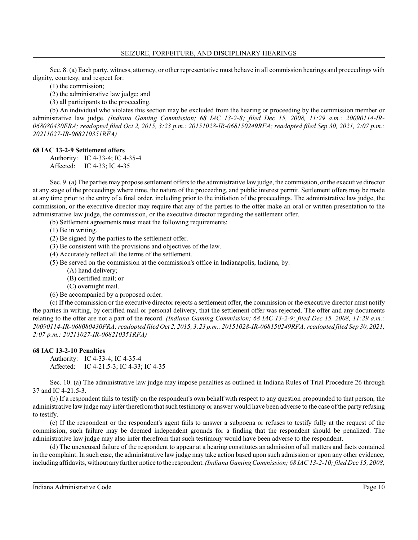Sec. 8. (a) Each party, witness, attorney, or other representative must behave in all commission hearings and proceedings with dignity, courtesy, and respect for:

(1) the commission;

(2) the administrative law judge; and

(3) all participants to the proceeding.

(b) An individual who violates this section may be excluded from the hearing or proceeding by the commission member or administrative law judge. *(Indiana Gaming Commission; 68 IAC 13-2-8; filed Dec 15, 2008, 11:29 a.m.: 20090114-IR-068080430FRA; readopted filed Oct 2, 2015, 3:23 p.m.: 20151028-IR-068150249RFA; readopted filed Sep 30, 2021, 2:07 p.m.: 20211027-IR-068210351RFA)*

### **68 IAC 13-2-9 Settlement offers**

Authority: IC 4-33-4; IC 4-35-4 Affected: IC 4-33; IC 4-35

Sec. 9. (a) The parties may propose settlement offers to the administrative law judge, the commission, or the executive director at any stage of the proceedings where time, the nature of the proceeding, and public interest permit. Settlement offers may be made at any time prior to the entry of a final order, including prior to the initiation of the proceedings. The administrative law judge, the commission, or the executive director may require that any of the parties to the offer make an oral or written presentation to the administrative law judge, the commission, or the executive director regarding the settlement offer.

(b) Settlement agreements must meet the following requirements:

(1) Be in writing.

(2) Be signed by the parties to the settlement offer.

(3) Be consistent with the provisions and objectives of the law.

- (4) Accurately reflect all the terms of the settlement.
- (5) Be served on the commission at the commission's office in Indianapolis, Indiana, by:
	- (A) hand delivery;
	- (B) certified mail; or
	- (C) overnight mail.
- (6) Be accompanied by a proposed order.

(c) If the commission or the executive director rejects a settlement offer, the commission or the executive director must notify the parties in writing, by certified mail or personal delivery, that the settlement offer was rejected. The offer and any documents relating to the offer are not a part of the record. *(Indiana Gaming Commission; 68 IAC 13-2-9; filed Dec 15, 2008, 11:29 a.m.: 20090114-IR-068080430FRA; readopted filed Oct 2, 2015, 3:23 p.m.: 20151028-IR-068150249RFA; readopted filed Sep 30, 2021, 2:07 p.m.: 20211027-IR-068210351RFA)*

#### **68 IAC 13-2-10 Penalties**

Authority: IC 4-33-4; IC 4-35-4 Affected: IC 4-21.5-3; IC 4-33; IC 4-35

Sec. 10. (a) The administrative law judge may impose penalties as outlined in Indiana Rules of Trial Procedure 26 through 37 and IC 4-21.5-3.

(b) If a respondent fails to testify on the respondent's own behalf with respect to any question propounded to that person, the administrative law judge may infer therefromthat such testimony or answer would have been adverse to the case of the party refusing to testify.

(c) If the respondent or the respondent's agent fails to answer a subpoena or refuses to testify fully at the request of the commission, such failure may be deemed independent grounds for a finding that the respondent should be penalized. The administrative law judge may also infer therefrom that such testimony would have been adverse to the respondent.

(d) The unexcused failure of the respondent to appear at a hearing constitutes an admission of all matters and facts contained in the complaint. In such case, the administrative law judge may take action based upon such admission or upon any other evidence, including affidavits, without anyfurther notice to the respondent. *(Indiana Gaming Commission; 68 IAC 13-2-10; filed Dec 15, 2008,*